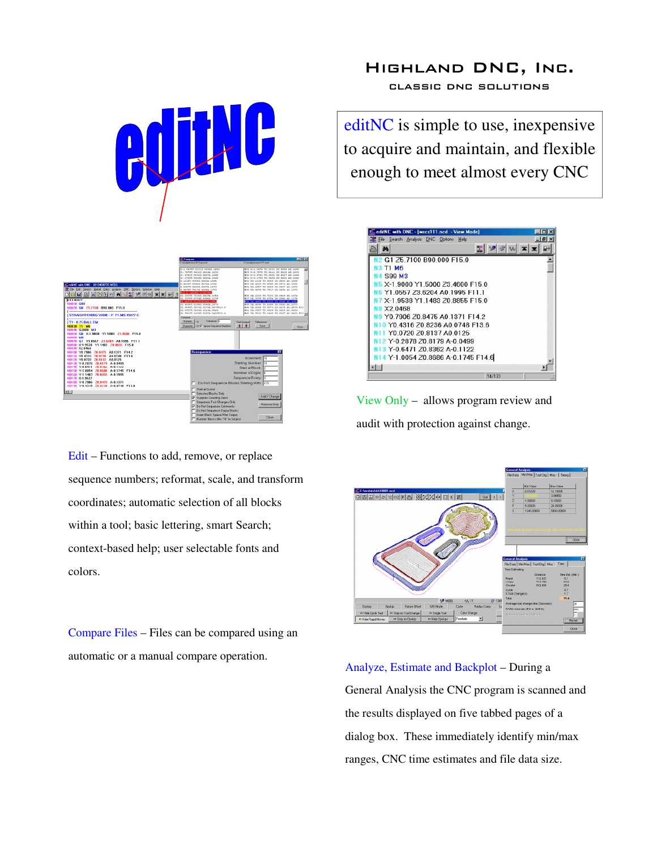## HIGHLAND DNC, INC. CLASSIC DNC SOLUTIONS





Edit – Functions to add, remove, or replace sequence numbers; reformat, scale, and transform coordinates; automatic selection of all blocks within a tool; basic lettering, smart Search; context-based help; user selectable fonts and colors.

Compare Files – Files can be compared using an automatic or a manual compare operation.

editNC is simple to use, inexpensive to acquire and maintain, and flexible enough to meet almost every CNC



View Only – allows program review and audit with protection against change.



Analyze, Estimate and Backplot – During a General Analysis the CNC program is scanned and the results displayed on five tabbed pages of a dialog box. These immediately identify min/max ranges, CNC time estimates and file data size.